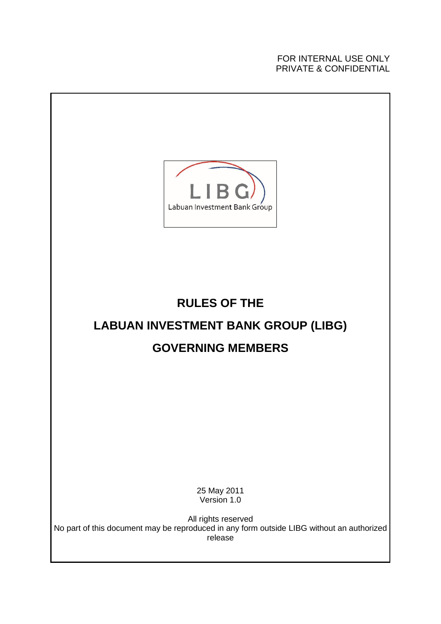FOR INTERNAL USE ONLY PRIVATE & CONFIDENTIAL

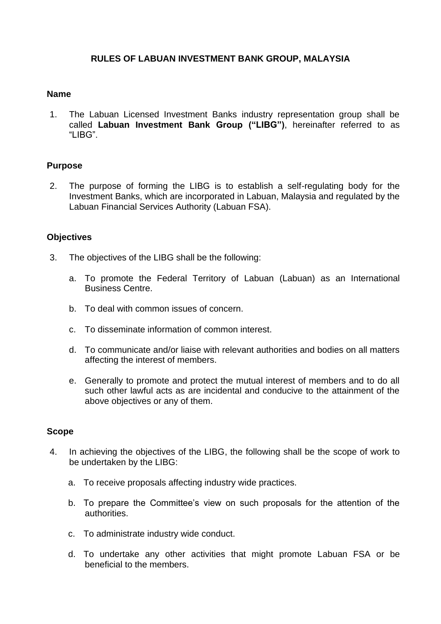# **RULES OF LABUAN INVESTMENT BANK GROUP, MALAYSIA**

### **Name**

1. The Labuan Licensed Investment Banks industry representation group shall be called **Labuan Investment Bank Group ("LIBG")**, hereinafter referred to as "LIBG".

## **Purpose**

2. The purpose of forming the LIBG is to establish a self-regulating body for the Investment Banks, which are incorporated in Labuan, Malaysia and regulated by the Labuan Financial Services Authority (Labuan FSA).

#### **Objectives**

- 3. The objectives of the LIBG shall be the following:
	- a. To promote the Federal Territory of Labuan (Labuan) as an International Business Centre.
	- b. To deal with common issues of concern.
	- c. To disseminate information of common interest.
	- d. To communicate and/or liaise with relevant authorities and bodies on all matters affecting the interest of members.
	- e. Generally to promote and protect the mutual interest of members and to do all such other lawful acts as are incidental and conducive to the attainment of the above objectives or any of them.

## **Scope**

- 4. In achieving the objectives of the LIBG, the following shall be the scope of work to be undertaken by the LIBG:
	- a. To receive proposals affecting industry wide practices.
	- b. To prepare the Committee's view on such proposals for the attention of the authorities.
	- c. To administrate industry wide conduct.
	- d. To undertake any other activities that might promote Labuan FSA or be beneficial to the members.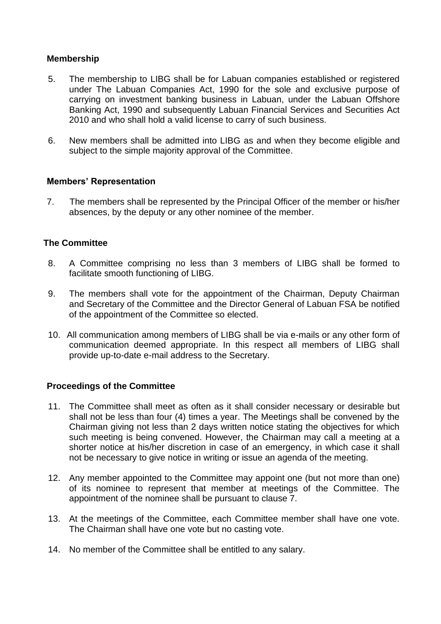# **Membership**

- 5. The membership to LIBG shall be for Labuan companies established or registered under The Labuan Companies Act, 1990 for the sole and exclusive purpose of carrying on investment banking business in Labuan, under the Labuan Offshore Banking Act, 1990 and subsequently Labuan Financial Services and Securities Act 2010 and who shall hold a valid license to carry of such business.
- 6. New members shall be admitted into LIBG as and when they become eligible and subject to the simple majority approval of the Committee.

# **Members' Representation**

7. The members shall be represented by the Principal Officer of the member or his/her absences, by the deputy or any other nominee of the member.

# **The Committee**

- 8. A Committee comprising no less than 3 members of LIBG shall be formed to facilitate smooth functioning of LIBG.
- 9. The members shall vote for the appointment of the Chairman, Deputy Chairman and Secretary of the Committee and the Director General of Labuan FSA be notified of the appointment of the Committee so elected.
- 10. All communication among members of LIBG shall be via e-mails or any other form of communication deemed appropriate. In this respect all members of LIBG shall provide up-to-date e-mail address to the Secretary.

# **Proceedings of the Committee**

- 11. The Committee shall meet as often as it shall consider necessary or desirable but shall not be less than four (4) times a year. The Meetings shall be convened by the Chairman giving not less than 2 days written notice stating the objectives for which such meeting is being convened. However, the Chairman may call a meeting at a shorter notice at his/her discretion in case of an emergency, in which case it shall not be necessary to give notice in writing or issue an agenda of the meeting.
- 12. Any member appointed to the Committee may appoint one (but not more than one) of its nominee to represent that member at meetings of the Committee. The appointment of the nominee shall be pursuant to clause 7.
- 13. At the meetings of the Committee, each Committee member shall have one vote. The Chairman shall have one vote but no casting vote.
- 14. No member of the Committee shall be entitled to any salary.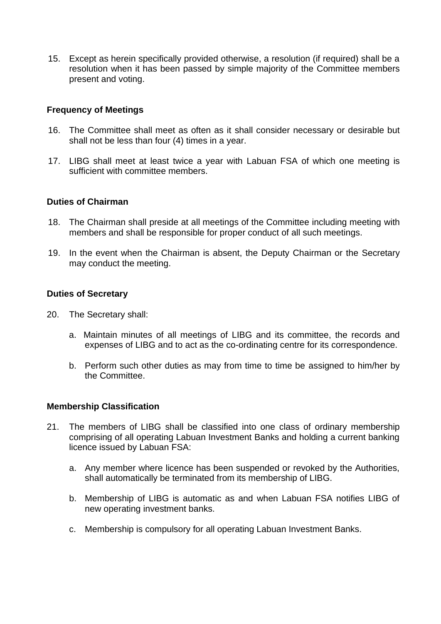15. Except as herein specifically provided otherwise, a resolution (if required) shall be a resolution when it has been passed by simple majority of the Committee members present and voting.

# **Frequency of Meetings**

- 16. The Committee shall meet as often as it shall consider necessary or desirable but shall not be less than four (4) times in a year.
- 17. LIBG shall meet at least twice a year with Labuan FSA of which one meeting is sufficient with committee members.

## **Duties of Chairman**

- 18. The Chairman shall preside at all meetings of the Committee including meeting with members and shall be responsible for proper conduct of all such meetings.
- 19. In the event when the Chairman is absent, the Deputy Chairman or the Secretary may conduct the meeting.

## **Duties of Secretary**

- 20. The Secretary shall:
	- a. Maintain minutes of all meetings of LIBG and its committee, the records and expenses of LIBG and to act as the co-ordinating centre for its correspondence.
	- b. Perform such other duties as may from time to time be assigned to him/her by the Committee.

## **Membership Classification**

- 21. The members of LIBG shall be classified into one class of ordinary membership comprising of all operating Labuan Investment Banks and holding a current banking licence issued by Labuan FSA:
	- a. Any member where licence has been suspended or revoked by the Authorities, shall automatically be terminated from its membership of LIBG.
	- b. Membership of LIBG is automatic as and when Labuan FSA notifies LIBG of new operating investment banks.
	- c. Membership is compulsory for all operating Labuan Investment Banks.